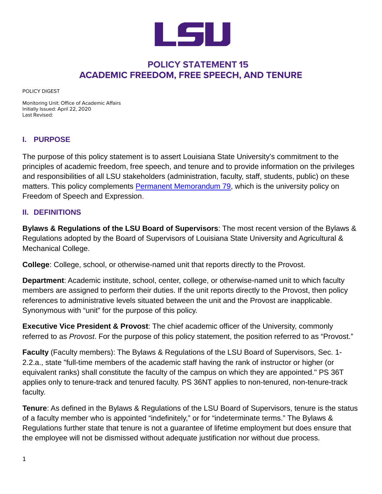

# **POLICY STATEMENT 15 ACADEMIC FREEDOM, FREE SPEECH, AND TENURE**

POLICY DIGEST

Monitoring Unit: Office of Academic Affairs Initially Issued: April 22, 2020 Last Revised:

### **I. PURPOSE**

The purpose of this policy statement is to assert Louisiana State University's commitment to the principles of academic freedom, free speech, and tenure and to provide information on the privileges and responsibilities of all LSU stakeholders (administration, faculty, staff, students, public) on these matters. This policy complements Permanent [Memorandum 79,](https://www.lsu.edu/administration/policies/pmfiles/pm_79.pdf) which is the university policy on Freedom of Speech and Expression.

### **II. DEFINITIONS**

**Bylaws & Regulations of the LSU Board of Supervisors**: The most recent version of the Bylaws & Regulations adopted by the Board of Supervisors of Louisiana State University and Agricultural & Mechanical College.

**College**: College, school, or otherwise-named unit that reports directly to the Provost.

**Department**: Academic institute, school, center, college, or otherwise-named unit to which faculty members are assigned to perform their duties. If the unit reports directly to the Provost, then policy references to administrative levels situated between the unit and the Provost are inapplicable. Synonymous with "unit" for the purpose of this policy.

**Executive Vice President & Provost**: The chief academic officer of the University, commonly referred to as *Provost*. For the purpose of this policy statement, the position referred to as "Provost."

**Faculty** (Faculty members): The Bylaws & Regulations of the LSU Board of Supervisors, Sec. 1- 2.2.a., state "full-time members of the academic staff having the rank of instructor or higher (or equivalent ranks) shall constitute the faculty of the campus on which they are appointed." PS 36T applies only to tenure-track and tenured faculty. PS 36NT applies to non-tenured, non-tenure-track faculty.

**Tenure**: As defined in the Bylaws & Regulations of the LSU Board of Supervisors, tenure is the status of a faculty member who is appointed "indefinitely," or for "indeterminate terms." The Bylaws & Regulations further state that tenure is not a guarantee of lifetime employment but does ensure that the employee will not be dismissed without adequate justification nor without due process.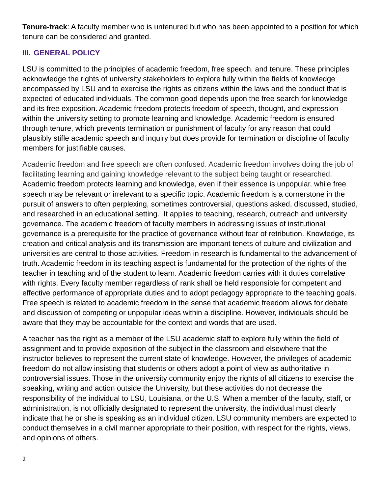**Tenure-track**: A faculty member who is untenured but who has been appointed to a position for which tenure can be considered and granted.

# **III. GENERAL POLICY**

LSU is committed to the principles of academic freedom, free speech, and tenure. These principles acknowledge the rights of university stakeholders to explore fully within the fields of knowledge encompassed by LSU and to exercise the rights as citizens within the laws and the conduct that is expected of educated individuals. The common good depends upon the free search for knowledge and its free exposition. Academic freedom protects freedom of speech, thought, and expression within the university setting to promote learning and knowledge. Academic freedom is ensured through tenure, which prevents termination or punishment of faculty for any reason that could plausibly stifle academic speech and inquiry but does provide for termination or discipline of faculty members for justifiable causes.

Academic freedom and free speech are often confused. Academic freedom involves doing the job of facilitating learning and gaining knowledge relevant to the subject being taught or researched. Academic freedom protects learning and knowledge, even if their essence is unpopular, while free speech may be relevant or irrelevant to a specific topic. Academic freedom is a cornerstone in the pursuit of answers to often perplexing, sometimes controversial, questions asked, discussed, studied, and researched in an educational setting. It applies to teaching, research, outreach and university governance. The academic freedom of faculty members in addressing issues of institutional governance is a prerequisite for the practice of governance without fear of retribution. Knowledge, its creation and critical analysis and its transmission are important tenets of culture and civilization and universities are central to those activities. Freedom in research is fundamental to the advancement of truth. Academic freedom in its teaching aspect is fundamental for the protection of the rights of the teacher in teaching and of the student to learn. Academic freedom carries with it duties correlative with rights. Every faculty member regardless of rank shall be held responsible for competent and effective performance of appropriate duties and to adopt pedagogy appropriate to the teaching goals. Free speech is related to academic freedom in the sense that academic freedom allows for debate and discussion of competing or unpopular ideas within a discipline. However, individuals should be aware that they may be accountable for the context and words that are used.

A teacher has the right as a member of the LSU academic staff to explore fully within the field of assignment and to provide exposition of the subject in the classroom and elsewhere that the instructor believes to represent the current state of knowledge. However, the privileges of academic freedom do not allow insisting that students or others adopt a point of view as authoritative in controversial issues. Those in the university community enjoy the rights of all citizens to exercise the speaking, writing and action outside the University, but these activities do not decrease the responsibility of the individual to LSU, Louisiana, or the U.S. When a member of the faculty, staff, or administration, is not officially designated to represent the university, the individual must clearly indicate that he or she is speaking as an individual citizen. LSU community members are expected to conduct themselves in a civil manner appropriate to their position, with respect for the rights, views, and opinions of others.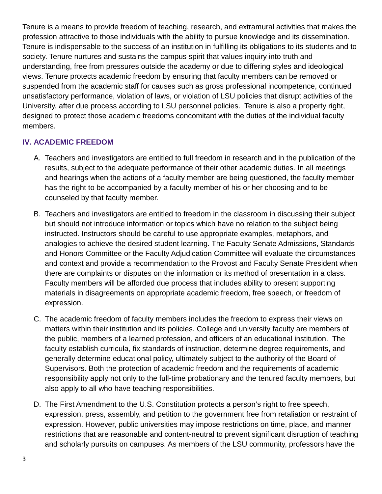Tenure is a means to provide freedom of teaching, research, and extramural activities that makes the profession attractive to those individuals with the ability to pursue knowledge and its dissemination. Tenure is indispensable to the success of an institution in fulfilling its obligations to its students and to society. Tenure nurtures and sustains the campus spirit that values inquiry into truth and understanding, free from pressures outside the academy or due to differing styles and ideological views. Tenure protects academic freedom by ensuring that faculty members can be removed or suspended from the academic staff for causes such as gross professional incompetence, continued unsatisfactory performance, violation of laws, or violation of LSU policies that disrupt activities of the University, after due process according to LSU personnel policies. Tenure is also a property right, designed to protect those academic freedoms concomitant with the duties of the individual faculty members.

# **IV. ACADEMIC FREEDOM**

- A. Teachers and investigators are entitled to full freedom in research and in the publication of the results, subject to the adequate performance of their other academic duties. In all meetings and hearings when the actions of a faculty member are being questioned, the faculty member has the right to be accompanied by a faculty member of his or her choosing and to be counseled by that faculty member.
- B. Teachers and investigators are entitled to freedom in the classroom in discussing their subject but should not introduce information or topics which have no relation to the subject being instructed. Instructors should be careful to use appropriate examples, metaphors, and analogies to achieve the desired student learning. The Faculty Senate Admissions, Standards and Honors Committee or the Faculty Adjudication Committee will evaluate the circumstances and context and provide a recommendation to the Provost and Faculty Senate President when there are complaints or disputes on the information or its method of presentation in a class. Faculty members will be afforded due process that includes ability to present supporting materials in disagreements on appropriate academic freedom, free speech, or freedom of expression.
- C. The academic freedom of faculty members includes the freedom to express their views on matters within their institution and its policies. College and university faculty are members of the public, members of a learned profession, and officers of an educational institution. The faculty establish curricula, fix standards of instruction, determine degree requirements, and generally determine educational policy, ultimately subject to the authority of the Board of Supervisors. Both the protection of academic freedom and the requirements of academic responsibility apply not only to the full-time probationary and the tenured faculty members, but also apply to all who have teaching responsibilities.
- D. The First Amendment to the U.S. Constitution protects a person's right to free speech, expression, press, assembly, and petition to the government free from retaliation or restraint of expression. However, public universities may impose restrictions on time, place, and manner restrictions that are reasonable and content-neutral to prevent significant disruption of teaching and scholarly pursuits on campuses. As members of the LSU community, professors have the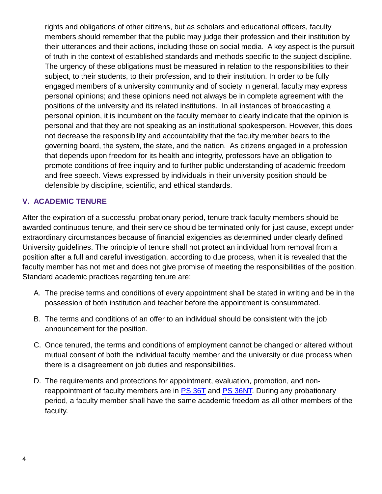rights and obligations of other citizens, but as scholars and educational officers, faculty members should remember that the public may judge their profession and their institution by their utterances and their actions, including those on social media. A key aspect is the pursuit of truth in the context of established standards and methods specific to the subject discipline. The urgency of these obligations must be measured in relation to the responsibilities to their subject, to their students, to their profession, and to their institution. In order to be fully engaged members of a university community and of society in general, faculty may express personal opinions; and these opinions need not always be in complete agreement with the positions of the university and its related institutions. In all instances of broadcasting a personal opinion, it is incumbent on the faculty member to clearly indicate that the opinion is personal and that they are not speaking as an institutional spokesperson. However, this does not decrease the responsibility and accountability that the faculty member bears to the governing board, the system, the state, and the nation. As citizens engaged in a profession that depends upon freedom for its health and integrity, professors have an obligation to promote conditions of free inquiry and to further public understanding of academic freedom and free speech. Views expressed by individuals in their university position should be defensible by discipline, scientific, and ethical standards.

### **V. ACADEMIC TENURE**

After the expiration of a successful probationary period, tenure track faculty members should be awarded continuous tenure, and their service should be terminated only for just cause, except under extraordinary circumstances because of financial exigencies as determined under clearly defined University guidelines. The principle of tenure shall not protect an individual from removal from a position after a full and careful investigation, according to due process, when it is revealed that the faculty member has not met and does not give promise of meeting the responsibilities of the position. Standard academic practices regarding tenure are:

- A. The precise terms and conditions of every appointment shall be stated in writing and be in the possession of both institution and teacher before the appointment is consummated.
- B. The terms and conditions of an offer to an individual should be consistent with the job announcement for the position.
- C. Once tenured, the terms and conditions of employment cannot be changed or altered without mutual consent of both the individual faculty member and the university or due process when there is a disagreement on job duties and responsibilities.
- D. The requirements and protections for appointment, evaluation, promotion, and nonreappointment of faculty members are in **PS [36T](https://www.lsu.edu/policies/ps/ps_36t.pdf)** and **PS 36NT**. During any probationary period, a faculty member shall have the same academic freedom as all other members of the faculty.